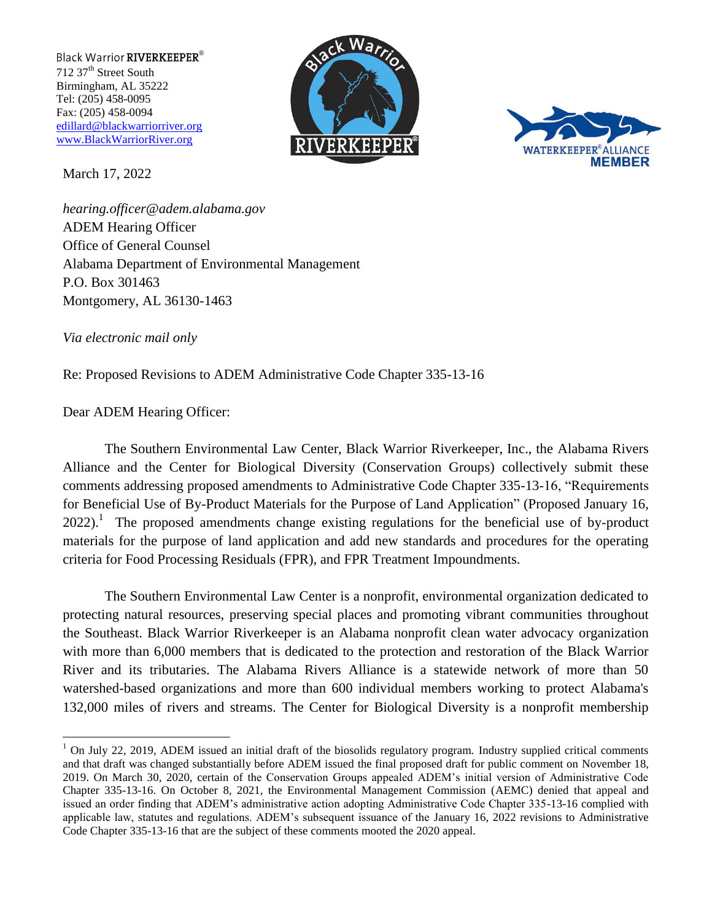Black Warrior RIVERKEEPER® 712 37<sup>th</sup> Street South Birmingham, AL 35222 Tel: (205) 458-0095 Fax: (205) 458-0094 [edillard@blackwarriorriver.org](mailto:edillard@blackwarriorriver.org) [www.BlackWarriorRiver.org](http://www.blackwarriorriver.org/)

March 17, 2022





*[hearing.officer@adem.alabama.gov](mailto:hearing.officer@adem.alabama.gov)* ADEM Hearing Officer Office of General Counsel Alabama Department of Environmental Management P.O. Box 301463 Montgomery, AL 36130-1463

*Via electronic mail only* 

 $\overline{a}$ 

Re: Proposed Revisions to ADEM Administrative Code Chapter 335-13-16

Dear ADEM Hearing Officer:

The Southern Environmental Law Center, Black Warrior Riverkeeper, Inc., the Alabama Rivers Alliance and the Center for Biological Diversity (Conservation Groups) collectively submit these comments addressing proposed amendments to Administrative Code Chapter 335-13-16, "Requirements for Beneficial Use of By-Product Materials for the Purpose of Land Application" (Proposed January 16,  $2022$ ).<sup>1</sup> The proposed amendments change existing regulations for the beneficial use of by-product materials for the purpose of land application and add new standards and procedures for the operating criteria for Food Processing Residuals (FPR), and FPR Treatment Impoundments.

The Southern Environmental Law Center is a nonprofit, environmental organization dedicated to protecting natural resources, preserving special places and promoting vibrant communities throughout the Southeast. Black Warrior Riverkeeper is an Alabama nonprofit clean water advocacy organization with more than 6,000 members that is dedicated to the protection and restoration of the Black Warrior River and its tributaries. The Alabama Rivers Alliance is a statewide network of more than 50 watershed-based organizations and more than 600 individual members working to protect Alabama's 132,000 miles of rivers and streams. The Center for Biological Diversity is a nonprofit membership

 $1$  On July 22, 2019, ADEM issued an initial draft of the biosolids regulatory program. Industry supplied critical comments and that draft was changed substantially before ADEM issued the final proposed draft for public comment on November 18, 2019. On March 30, 2020, certain of the Conservation Groups appealed ADEM's initial version of Administrative Code Chapter 335-13-16. On October 8, 2021, the Environmental Management Commission (AEMC) denied that appeal and issued an order finding that ADEM's administrative action adopting Administrative Code Chapter 335-13-16 complied with applicable law, statutes and regulations. ADEM's subsequent issuance of the January 16, 2022 revisions to Administrative Code Chapter 335-13-16 that are the subject of these comments mooted the 2020 appeal.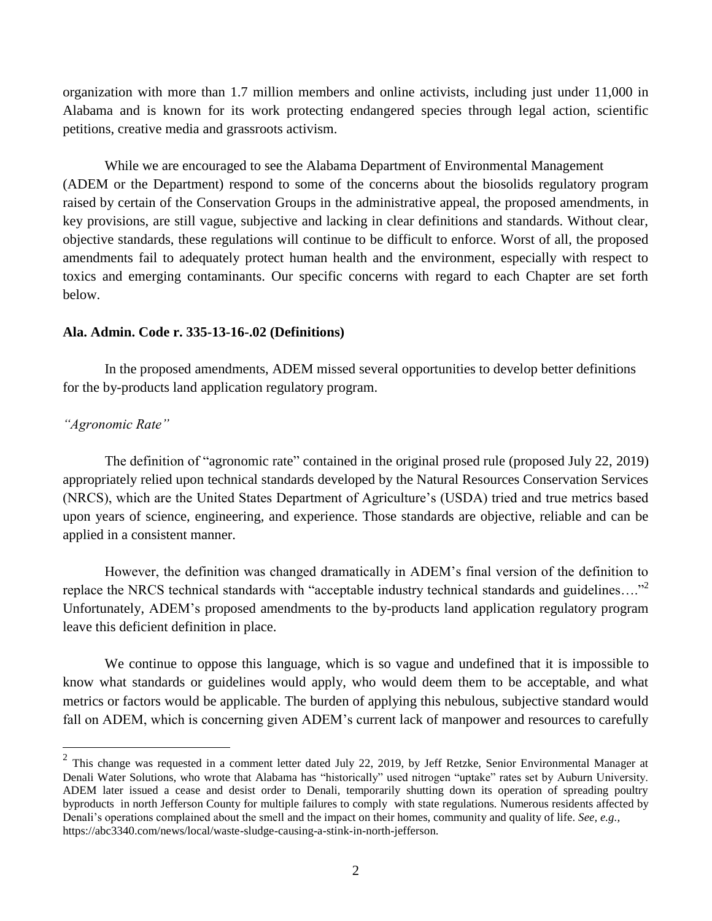organization with more than 1.7 million members and online activists, including just under 11,000 in Alabama and is known for its work protecting endangered species through legal action, scientific petitions, creative media and grassroots activism.

While we are encouraged to see the Alabama Department of Environmental Management (ADEM or the Department) respond to some of the concerns about the biosolids regulatory program raised by certain of the Conservation Groups in the administrative appeal, the proposed amendments, in key provisions, are still vague, subjective and lacking in clear definitions and standards. Without clear, objective standards, these regulations will continue to be difficult to enforce. Worst of all, the proposed amendments fail to adequately protect human health and the environment, especially with respect to toxics and emerging contaminants. Our specific concerns with regard to each Chapter are set forth below.

### **Ala. Admin. Code r. 335-13-16-.02 (Definitions)**

In the proposed amendments, ADEM missed several opportunities to develop better definitions for the by-products land application regulatory program.

# *"Agronomic Rate"*

 $\overline{a}$ 

The definition of "agronomic rate" contained in the original prosed rule (proposed July 22, 2019) appropriately relied upon technical standards developed by the Natural Resources Conservation Services (NRCS), which are the United States Department of Agriculture's (USDA) tried and true metrics based upon years of science, engineering, and experience. Those standards are objective, reliable and can be applied in a consistent manner.

However, the definition was changed dramatically in ADEM's final version of the definition to replace the NRCS technical standards with "acceptable industry technical standards and guidelines...."<sup>2</sup> Unfortunately, ADEM's proposed amendments to the by-products land application regulatory program leave this deficient definition in place.

We continue to oppose this language, which is so vague and undefined that it is impossible to know what standards or guidelines would apply, who would deem them to be acceptable, and what metrics or factors would be applicable. The burden of applying this nebulous, subjective standard would fall on ADEM, which is concerning given ADEM's current lack of manpower and resources to carefully

 $2$  This change was requested in a comment letter dated July 22, 2019, by Jeff Retzke, Senior Environmental Manager at Denali Water Solutions, who wrote that Alabama has "historically" used nitrogen "uptake" rates set by Auburn University. ADEM later issued a cease and desist order to Denali, temporarily shutting down its operation of spreading poultry byproducts in north Jefferson County for multiple failures to comply with state regulations*.* Numerous residents affected by Denali's operations complained about the smell and the impact on their homes, community and quality of life. *See, e.g.,* https://abc3340.com/news/local/waste-sludge-causing-a-stink-in-north-jefferson.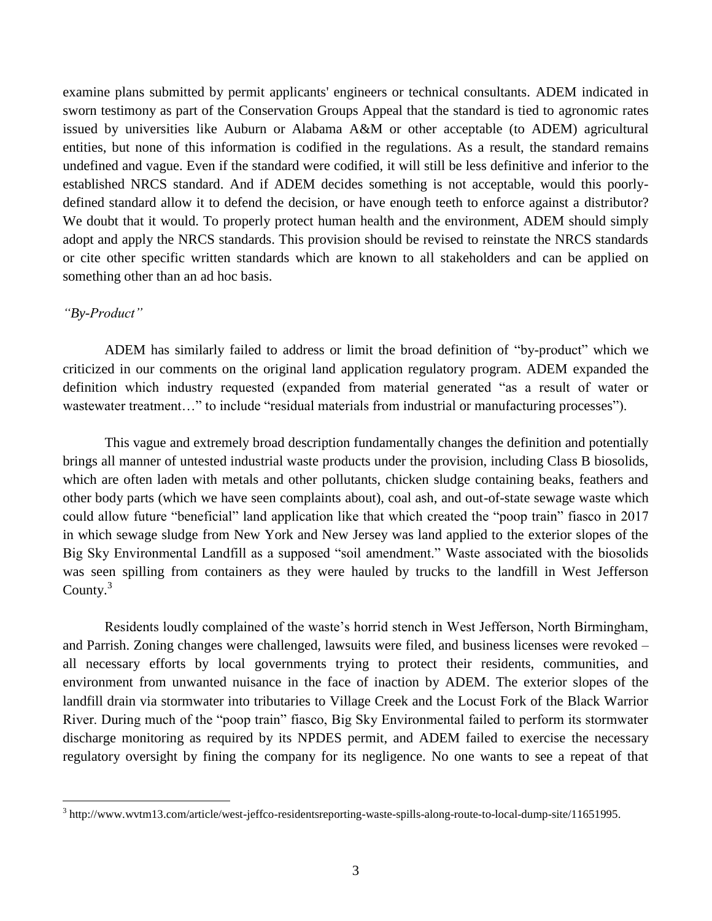examine plans submitted by permit applicants' engineers or technical consultants. ADEM indicated in sworn testimony as part of the Conservation Groups Appeal that the standard is tied to agronomic rates issued by universities like Auburn or Alabama A&M or other acceptable (to ADEM) agricultural entities, but none of this information is codified in the regulations. As a result, the standard remains undefined and vague. Even if the standard were codified, it will still be less definitive and inferior to the established NRCS standard. And if ADEM decides something is not acceptable, would this poorlydefined standard allow it to defend the decision, or have enough teeth to enforce against a distributor? We doubt that it would. To properly protect human health and the environment, ADEM should simply adopt and apply the NRCS standards. This provision should be revised to reinstate the NRCS standards or cite other specific written standards which are known to all stakeholders and can be applied on something other than an ad hoc basis.

### *"By-Product"*

ADEM has similarly failed to address or limit the broad definition of "by-product" which we criticized in our comments on the original land application regulatory program. ADEM expanded the definition which industry requested (expanded from material generated "as a result of water or wastewater treatment..." to include "residual materials from industrial or manufacturing processes").

This vague and extremely broad description fundamentally changes the definition and potentially brings all manner of untested industrial waste products under the provision, including Class B biosolids, which are often laden with metals and other pollutants, chicken sludge containing beaks, feathers and other body parts (which we have seen complaints about), coal ash, and out-of-state sewage waste which could allow future "beneficial" land application like that which created the "poop train" fiasco in 2017 in which sewage sludge from New York and New Jersey was land applied to the exterior slopes of the Big Sky Environmental Landfill as a supposed "soil amendment." Waste associated with the biosolids was seen spilling from containers as they were hauled by trucks to the landfill in West Jefferson County.<sup>3</sup>

Residents loudly complained of the waste's horrid stench in West Jefferson, North Birmingham, and Parrish. Zoning changes were challenged, lawsuits were filed, and business licenses were revoked – all necessary efforts by local governments trying to protect their residents, communities, and environment from unwanted nuisance in the face of inaction by ADEM. The exterior slopes of the landfill drain via stormwater into tributaries to Village Creek and the Locust Fork of the Black Warrior River. During much of the "poop train" fiasco, Big Sky Environmental failed to perform its stormwater discharge monitoring as required by its NPDES permit, and ADEM failed to exercise the necessary regulatory oversight by fining the company for its negligence. No one wants to see a repeat of that

 3 [http://www.wvtm13.com/article/west-jeffco-residentsreporting-waste-spills-along-route-to-local-dump-site/11651995.](http://www.wvtm13.com/article/west-jeffco-residentsreporting-waste-spills-along-route-to-local-dump-site/11651995)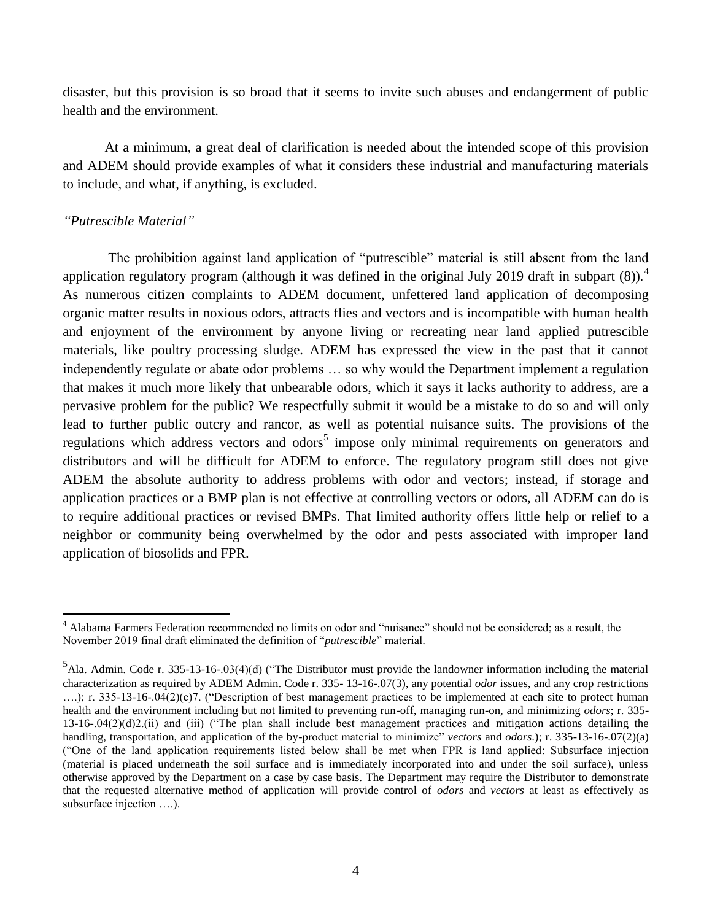disaster, but this provision is so broad that it seems to invite such abuses and endangerment of public health and the environment.

At a minimum, a great deal of clarification is needed about the intended scope of this provision and ADEM should provide examples of what it considers these industrial and manufacturing materials to include, and what, if anything, is excluded.

# *"Putrescible Material"*

 $\overline{a}$ 

The prohibition against land application of "putrescible" material is still absent from the land application regulatory program (although it was defined in the original July 2019 draft in subpart  $(8)$ ).<sup>4</sup> As numerous citizen complaints to ADEM document, unfettered land application of decomposing organic matter results in noxious odors, attracts flies and vectors and is incompatible with human health and enjoyment of the environment by anyone living or recreating near land applied putrescible materials, like poultry processing sludge. ADEM has expressed the view in the past that it cannot independently regulate or abate odor problems … so why would the Department implement a regulation that makes it much more likely that unbearable odors, which it says it lacks authority to address, are a pervasive problem for the public? We respectfully submit it would be a mistake to do so and will only lead to further public outcry and rancor, as well as potential nuisance suits. The provisions of the regulations which address vectors and odors<sup>5</sup> impose only minimal requirements on generators and distributors and will be difficult for ADEM to enforce. The regulatory program still does not give ADEM the absolute authority to address problems with odor and vectors; instead, if storage and application practices or a BMP plan is not effective at controlling vectors or odors, all ADEM can do is to require additional practices or revised BMPs. That limited authority offers little help or relief to a neighbor or community being overwhelmed by the odor and pests associated with improper land application of biosolids and FPR.

<sup>&</sup>lt;sup>4</sup> Alabama Farmers Federation recommended no limits on odor and "nuisance" should not be considered; as a result, the November 2019 final draft eliminated the definition of "*putrescible*" material.

 $<sup>5</sup>$ Ala. Admin. Code r. 335-13-16-.03(4)(d) ("The Distributor must provide the landowner information including the material</sup> characterization as required by ADEM Admin. Code r. 335- 13-16-.07(3), any potential *odor* issues, and any crop restrictions ....); r. 335-13-16-.04(2)(c)7. ("Description of best management practices to be implemented at each site to protect human health and the environment including but not limited to preventing run-off, managing run-on, and minimizing *odors*; r. 335- 13-16-.04(2)(d)2.(ii) and (iii) ("The plan shall include best management practices and mitigation actions detailing the handling, transportation, and application of the by-product material to minimize" *vectors* and *odors*.); r. 335-13-16-.07(2)(a) ("One of the land application requirements listed below shall be met when FPR is land applied: Subsurface injection (material is placed underneath the soil surface and is immediately incorporated into and under the soil surface), unless otherwise approved by the Department on a case by case basis. The Department may require the Distributor to demonstrate that the requested alternative method of application will provide control of *odors* and *vectors* at least as effectively as subsurface injection ….).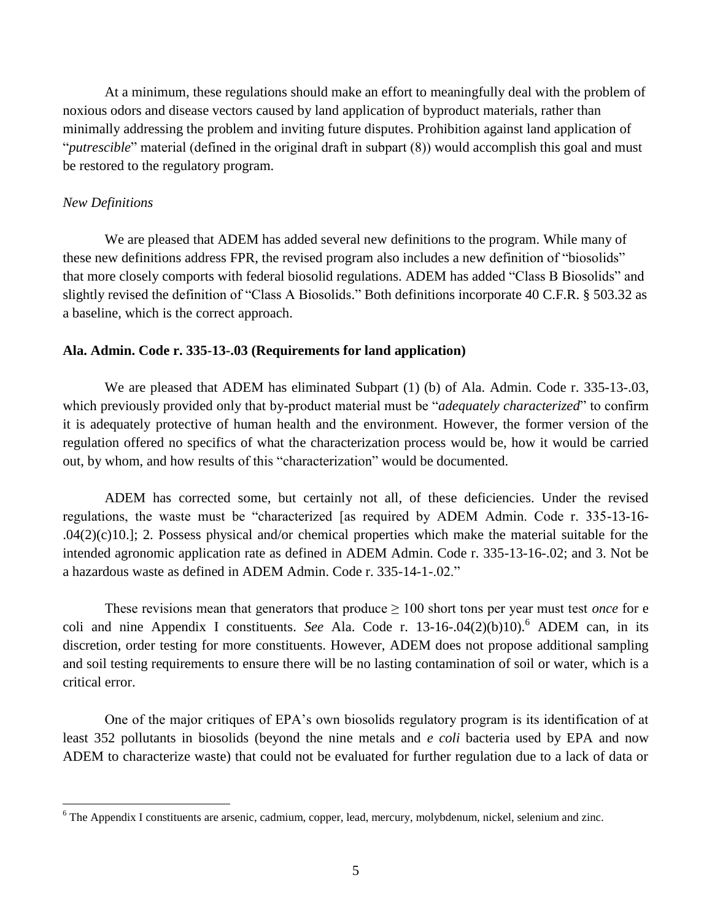At a minimum, these regulations should make an effort to meaningfully deal with the problem of noxious odors and disease vectors caused by land application of byproduct materials, rather than minimally addressing the problem and inviting future disputes. Prohibition against land application of "*putrescible*" material (defined in the original draft in subpart (8)) would accomplish this goal and must be restored to the regulatory program.

### *New Definitions*

 $\overline{a}$ 

We are pleased that ADEM has added several new definitions to the program. While many of these new definitions address FPR, the revised program also includes a new definition of "biosolids" that more closely comports with federal biosolid regulations. ADEM has added "Class B Biosolids" and slightly revised the definition of "Class A Biosolids." Both definitions incorporate 40 C.F.R. § 503.32 as a baseline, which is the correct approach.

#### **Ala. Admin. Code r. 335-13-.03 (Requirements for land application)**

We are pleased that ADEM has eliminated Subpart (1) (b) of Ala. Admin. Code r. 335-13-.03, which previously provided only that by-product material must be "*adequately characterized*" to confirm it is adequately protective of human health and the environment. However, the former version of the regulation offered no specifics of what the characterization process would be, how it would be carried out, by whom, and how results of this "characterization" would be documented.

ADEM has corrected some, but certainly not all, of these deficiencies. Under the revised regulations, the waste must be "characterized [as required by ADEM Admin. Code r. 335-13-16- .04(2)(c)10.]; 2. Possess physical and/or chemical properties which make the material suitable for the intended agronomic application rate as defined in ADEM Admin. Code r. 335-13-16-.02; and 3. Not be a hazardous waste as defined in ADEM Admin. Code r. 335-14-1-.02."

These revisions mean that generators that produce  $\geq 100$  short tons per year must test *once* for e coli and nine Appendix I constituents. *See* Ala. Code r. 13-16-.04(2)(b)10).<sup>6</sup> ADEM can, in its discretion, order testing for more constituents. However, ADEM does not propose additional sampling and soil testing requirements to ensure there will be no lasting contamination of soil or water, which is a critical error.

One of the major critiques of EPA's own biosolids regulatory program is its identification of at least 352 pollutants in biosolids (beyond the nine metals and *e coli* bacteria used by EPA and now ADEM to characterize waste) that could not be evaluated for further regulation due to a lack of data or

<sup>&</sup>lt;sup>6</sup> The Appendix I constituents are arsenic, cadmium, copper, lead, mercury, molybdenum, nickel, selenium and zinc.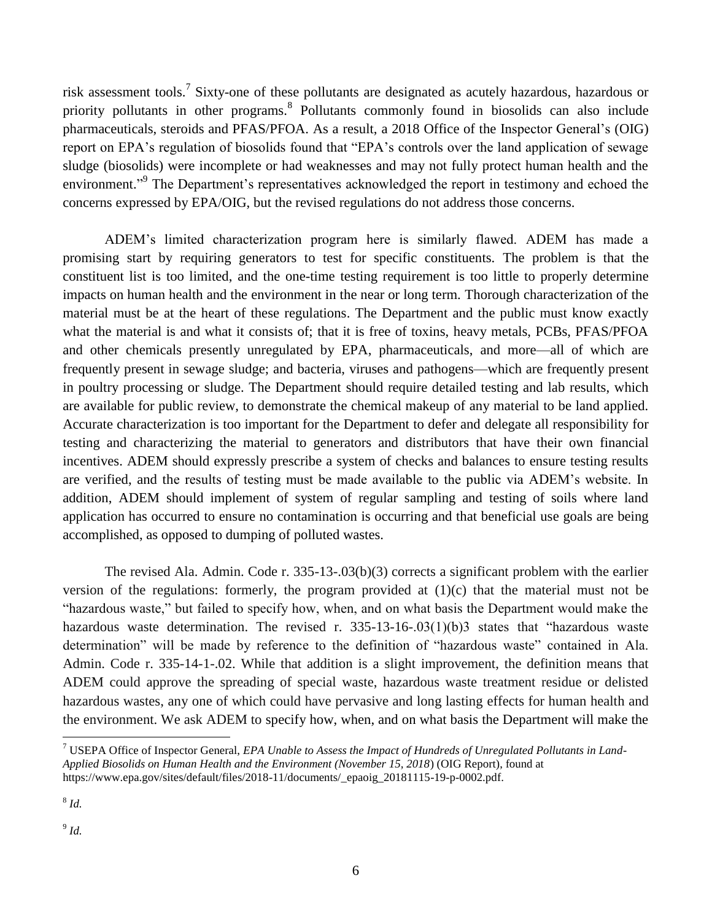risk assessment tools.<sup>7</sup> Sixty-one of these pollutants are designated as acutely hazardous, hazardous or priority pollutants in other programs.<sup>8</sup> Pollutants commonly found in biosolids can also include pharmaceuticals, steroids and PFAS/PFOA. As a result, a 2018 Office of the Inspector General's (OIG) report on EPA's regulation of biosolids found that "EPA's controls over the land application of sewage sludge (biosolids) were incomplete or had weaknesses and may not fully protect human health and the environment."<sup>9</sup> The Department's representatives acknowledged the report in testimony and echoed the concerns expressed by EPA/OIG, but the revised regulations do not address those concerns.

ADEM's limited characterization program here is similarly flawed. ADEM has made a promising start by requiring generators to test for specific constituents. The problem is that the constituent list is too limited, and the one-time testing requirement is too little to properly determine impacts on human health and the environment in the near or long term. Thorough characterization of the material must be at the heart of these regulations. The Department and the public must know exactly what the material is and what it consists of; that it is free of toxins, heavy metals, PCBs, PFAS/PFOA and other chemicals presently unregulated by EPA, pharmaceuticals, and more—all of which are frequently present in sewage sludge; and bacteria, viruses and pathogens—which are frequently present in poultry processing or sludge. The Department should require detailed testing and lab results, which are available for public review, to demonstrate the chemical makeup of any material to be land applied. Accurate characterization is too important for the Department to defer and delegate all responsibility for testing and characterizing the material to generators and distributors that have their own financial incentives. ADEM should expressly prescribe a system of checks and balances to ensure testing results are verified, and the results of testing must be made available to the public via ADEM's website. In addition, ADEM should implement of system of regular sampling and testing of soils where land application has occurred to ensure no contamination is occurring and that beneficial use goals are being accomplished, as opposed to dumping of polluted wastes.

The revised Ala. Admin. Code r.  $335-13-03(b)(3)$  corrects a significant problem with the earlier version of the regulations: formerly, the program provided at (1)(c) that the material must not be "hazardous waste," but failed to specify how, when, and on what basis the Department would make the hazardous waste determination. The revised r. 335-13-16-.03(1)(b)3 states that "hazardous waste determination" will be made by reference to the definition of "hazardous waste" contained in Ala. Admin. Code r. 335-14-1-.02. While that addition is a slight improvement, the definition means that ADEM could approve the spreading of special waste, hazardous waste treatment residue or delisted hazardous wastes, any one of which could have pervasive and long lasting effects for human health and the environment. We ask ADEM to specify how, when, and on what basis the Department will make the

 $\overline{a}$ 

9 *Id.*

<sup>7</sup> USEPA Office of Inspector General, *EPA Unable to Assess the Impact of Hundreds of Unregulated Pollutants in Land-Applied Biosolids on Human Health and the Environment (November 15, 2018*) (OIG Report), found at https://www.epa.gov/sites/default/files/2018-11/documents/\_epaoig\_20181115-19-p-0002.pdf.

<sup>8</sup> *Id.*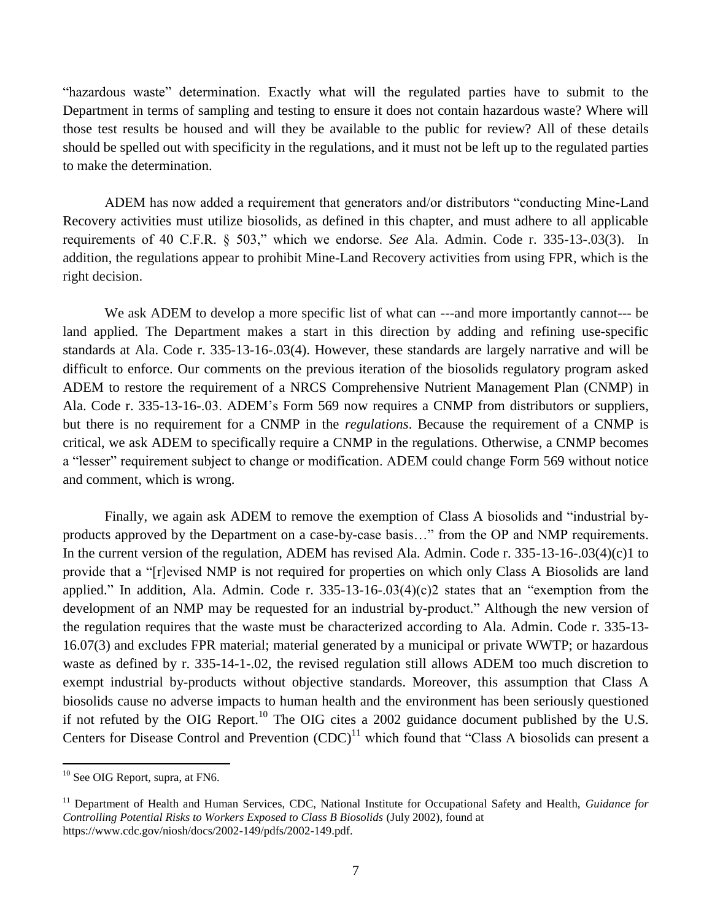"hazardous waste" determination. Exactly what will the regulated parties have to submit to the Department in terms of sampling and testing to ensure it does not contain hazardous waste? Where will those test results be housed and will they be available to the public for review? All of these details should be spelled out with specificity in the regulations, and it must not be left up to the regulated parties to make the determination.

ADEM has now added a requirement that generators and/or distributors "conducting Mine-Land Recovery activities must utilize biosolids, as defined in this chapter, and must adhere to all applicable requirements of 40 C.F.R. § 503," which we endorse. *See* Ala. Admin. Code r. 335-13-.03(3). In addition, the regulations appear to prohibit Mine-Land Recovery activities from using FPR, which is the right decision.

We ask ADEM to develop a more specific list of what can ---and more importantly cannot--- be land applied. The Department makes a start in this direction by adding and refining use-specific standards at Ala. Code r. 335-13-16-.03(4). However, these standards are largely narrative and will be difficult to enforce. Our comments on the previous iteration of the biosolids regulatory program asked ADEM to restore the requirement of a NRCS Comprehensive Nutrient Management Plan (CNMP) in Ala. Code r. 335-13-16-.03. ADEM's Form 569 now requires a CNMP from distributors or suppliers, but there is no requirement for a CNMP in the *regulations*. Because the requirement of a CNMP is critical, we ask ADEM to specifically require a CNMP in the regulations. Otherwise, a CNMP becomes a "lesser" requirement subject to change or modification. ADEM could change Form 569 without notice and comment, which is wrong.

Finally, we again ask ADEM to remove the exemption of Class A biosolids and "industrial byproducts approved by the Department on a case-by-case basis…" from the OP and NMP requirements. In the current version of the regulation, ADEM has revised Ala. Admin. Code r. 335-13-16-.03(4)(c)1 to provide that a "[r]evised NMP is not required for properties on which only Class A Biosolids are land applied." In addition, Ala. Admin. Code r. 335-13-16-.03(4)(c)2 states that an "exemption from the development of an NMP may be requested for an industrial by-product." Although the new version of the regulation requires that the waste must be characterized according to Ala. Admin. Code r. 335-13- 16.07(3) and excludes FPR material; material generated by a municipal or private WWTP; or hazardous waste as defined by r. 335-14-1-.02, the revised regulation still allows ADEM too much discretion to exempt industrial by-products without objective standards. Moreover, this assumption that Class A biosolids cause no adverse impacts to human health and the environment has been seriously questioned if not refuted by the OIG Report.<sup>10</sup> The OIG cites a 2002 guidance document published by the U.S. Centers for Disease Control and Prevention  $(CDC)^{11}$  which found that "Class A biosolids can present a

 $10$  See OIG Report, supra, at FN6.

<sup>&</sup>lt;sup>11</sup> Department of Health and Human Services, CDC, National Institute for Occupational Safety and Health, *Guidance for Controlling Potential Risks to Workers Exposed to Class B Biosolids* (July 2002), found at https://www.cdc.gov/niosh/docs/2002-149/pdfs/2002-149.pdf.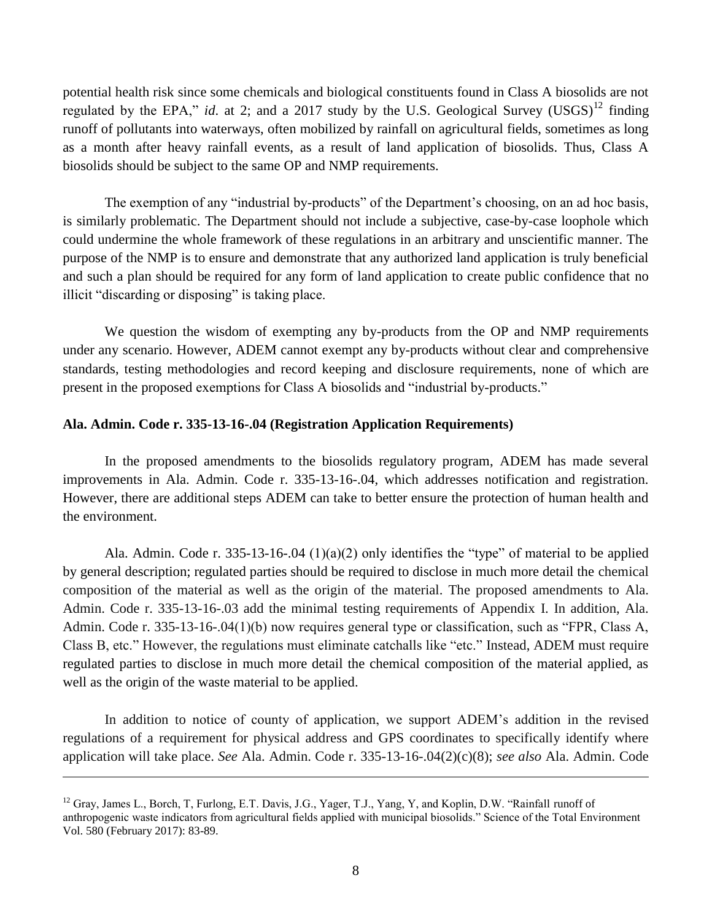potential health risk since some chemicals and biological constituents found in Class A biosolids are not regulated by the EPA," *id.* at 2; and a 2017 study by the U.S. Geological Survey (USGS)<sup>12</sup> finding runoff of pollutants into waterways, often mobilized by rainfall on agricultural fields, sometimes as long as a month after heavy rainfall events, as a result of land application of biosolids. Thus, Class A biosolids should be subject to the same OP and NMP requirements.

The exemption of any "industrial by-products" of the Department's choosing, on an ad hoc basis, is similarly problematic. The Department should not include a subjective, case-by-case loophole which could undermine the whole framework of these regulations in an arbitrary and unscientific manner. The purpose of the NMP is to ensure and demonstrate that any authorized land application is truly beneficial and such a plan should be required for any form of land application to create public confidence that no illicit "discarding or disposing" is taking place.

We question the wisdom of exempting any by-products from the OP and NMP requirements under any scenario. However, ADEM cannot exempt any by-products without clear and comprehensive standards, testing methodologies and record keeping and disclosure requirements, none of which are present in the proposed exemptions for Class A biosolids and "industrial by-products."

### **Ala. Admin. Code r. 335-13-16-.04 (Registration Application Requirements)**

 $\overline{a}$ 

In the proposed amendments to the biosolids regulatory program, ADEM has made several improvements in Ala. Admin. Code r. 335-13-16-.04, which addresses notification and registration. However, there are additional steps ADEM can take to better ensure the protection of human health and the environment.

Ala. Admin. Code r. 335-13-16-.04 (1)(a)(2) only identifies the "type" of material to be applied by general description; regulated parties should be required to disclose in much more detail the chemical composition of the material as well as the origin of the material. The proposed amendments to Ala. Admin. Code r. 335-13-16-.03 add the minimal testing requirements of Appendix I. In addition, Ala. Admin. Code r. 335-13-16-.04(1)(b) now requires general type or classification, such as "FPR, Class A, Class B, etc." However, the regulations must eliminate catchalls like "etc." Instead, ADEM must require regulated parties to disclose in much more detail the chemical composition of the material applied, as well as the origin of the waste material to be applied.

In addition to notice of county of application, we support ADEM's addition in the revised regulations of a requirement for physical address and GPS coordinates to specifically identify where application will take place. *See* Ala. Admin. Code r. 335-13-16-.04(2)(c)(8); *see also* Ala. Admin. Code

<sup>&</sup>lt;sup>12</sup> Gray, James L., Borch, T. Furlong, E.T. Davis, J.G., Yager, T.J., Yang, Y., and Koplin, D.W. "Rainfall runoff of anthropogenic waste indicators from agricultural fields applied with municipal biosolids." Science of the Total Environment Vol. 580 (February 2017): 83-89.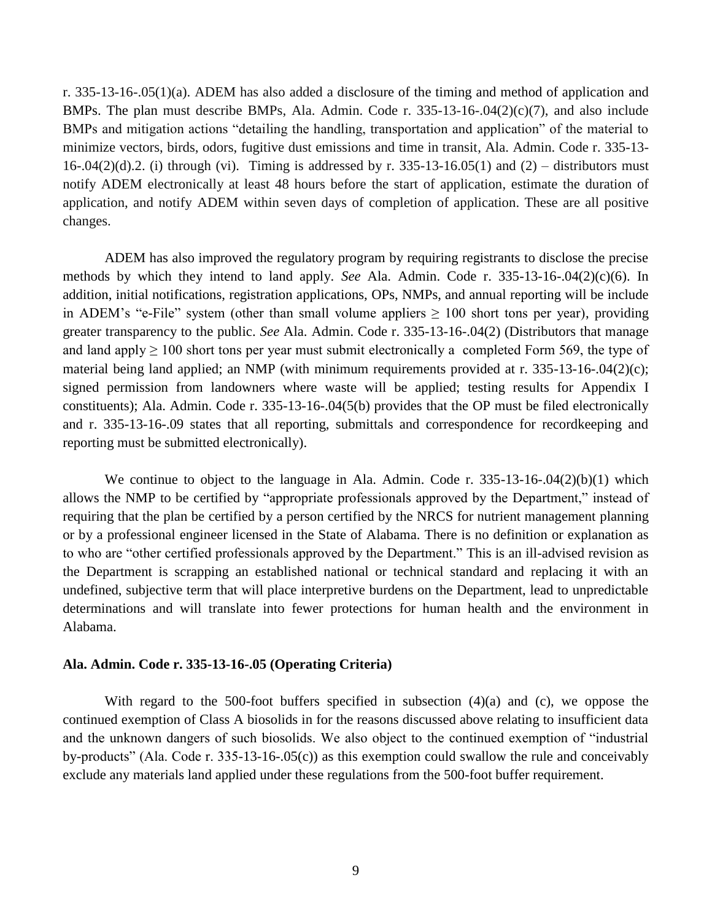r. 335-13-16-.05(1)(a). ADEM has also added a disclosure of the timing and method of application and BMPs. The plan must describe BMPs, Ala. Admin. Code r. 335-13-16-.04(2)(c)(7), and also include BMPs and mitigation actions "detailing the handling, transportation and application" of the material to minimize vectors, birds, odors, fugitive dust emissions and time in transit, Ala. Admin. Code r. 335-13- 16-.04(2)(d).2. (i) through (vi). Timing is addressed by r. 335-13-16.05(1) and (2) – distributors must notify ADEM electronically at least 48 hours before the start of application, estimate the duration of application, and notify ADEM within seven days of completion of application. These are all positive changes.

ADEM has also improved the regulatory program by requiring registrants to disclose the precise methods by which they intend to land apply. *See* Ala. Admin. Code r. 335-13-16-.04(2)(c)(6). In addition, initial notifications, registration applications, OPs, NMPs, and annual reporting will be include in ADEM's "e-File" system (other than small volume appliers  $\geq 100$  short tons per year), providing greater transparency to the public. *See* Ala. Admin. Code r. 335-13-16-.04(2) (Distributors that manage and land apply  $\geq 100$  short tons per year must submit electronically a completed Form 569, the type of material being land applied; an NMP (with minimum requirements provided at r. 335-13-16-.04(2)(c); signed permission from landowners where waste will be applied; testing results for Appendix I constituents); Ala. Admin. Code r. 335-13-16-.04(5(b) provides that the OP must be filed electronically and r. 335-13-16-.09 states that all reporting, submittals and correspondence for recordkeeping and reporting must be submitted electronically).

We continue to object to the language in Ala. Admin. Code r. 335-13-16-.04(2)(b)(1) which allows the NMP to be certified by "appropriate professionals approved by the Department," instead of requiring that the plan be certified by a person certified by the NRCS for nutrient management planning or by a professional engineer licensed in the State of Alabama. There is no definition or explanation as to who are "other certified professionals approved by the Department." This is an ill-advised revision as the Department is scrapping an established national or technical standard and replacing it with an undefined, subjective term that will place interpretive burdens on the Department, lead to unpredictable determinations and will translate into fewer protections for human health and the environment in Alabama.

### **Ala. Admin. Code r. 335-13-16-.05 (Operating Criteria)**

With regard to the 500-foot buffers specified in subsection (4)(a) and (c), we oppose the continued exemption of Class A biosolids in for the reasons discussed above relating to insufficient data and the unknown dangers of such biosolids. We also object to the continued exemption of "industrial by-products" (Ala. Code r. 335-13-16-.05(c)) as this exemption could swallow the rule and conceivably exclude any materials land applied under these regulations from the 500-foot buffer requirement.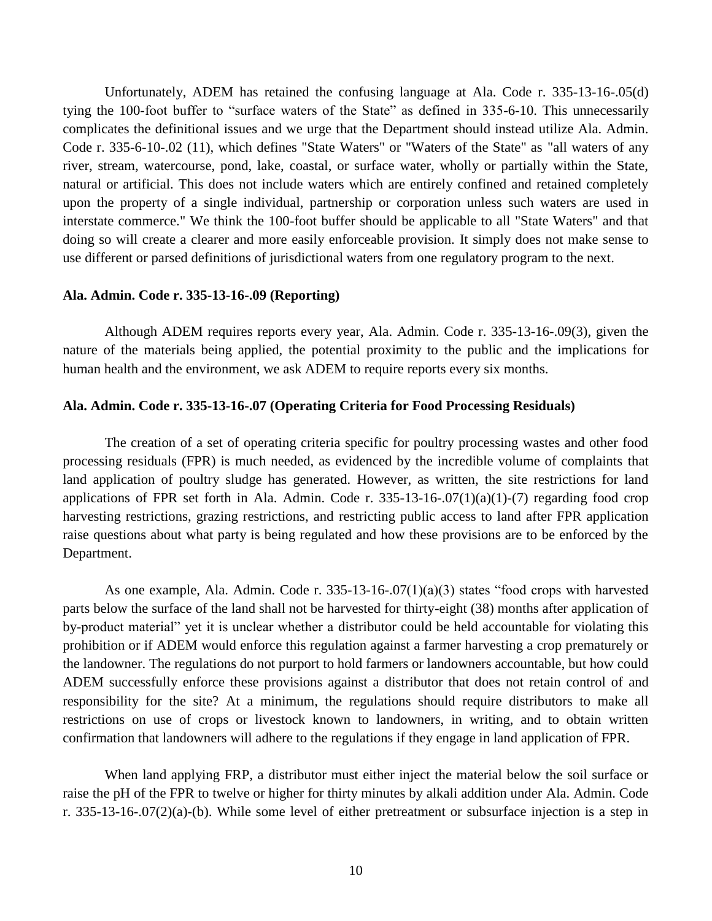Unfortunately, ADEM has retained the confusing language at Ala. Code r. 335-13-16-.05(d) tying the 100-foot buffer to "surface waters of the State" as defined in 335-6-10. This unnecessarily complicates the definitional issues and we urge that the Department should instead utilize Ala. Admin. Code r. 335-6-10-.02 (11), which defines "State Waters" or "Waters of the State" as "all waters of any river, stream, watercourse, pond, lake, coastal, or surface water, wholly or partially within the State, natural or artificial. This does not include waters which are entirely confined and retained completely upon the property of a single individual, partnership or corporation unless such waters are used in interstate commerce." We think the 100-foot buffer should be applicable to all "State Waters" and that doing so will create a clearer and more easily enforceable provision. It simply does not make sense to use different or parsed definitions of jurisdictional waters from one regulatory program to the next.

#### **Ala. Admin. Code r. 335-13-16-.09 (Reporting)**

Although ADEM requires reports every year, Ala. Admin. Code r. 335-13-16-.09(3), given the nature of the materials being applied, the potential proximity to the public and the implications for human health and the environment, we ask ADEM to require reports every six months.

### **Ala. Admin. Code r. 335-13-16-.07 (Operating Criteria for Food Processing Residuals)**

The creation of a set of operating criteria specific for poultry processing wastes and other food processing residuals (FPR) is much needed, as evidenced by the incredible volume of complaints that land application of poultry sludge has generated. However, as written, the site restrictions for land applications of FPR set forth in Ala. Admin. Code r.  $335-13-16-07(1)(a)(1)-(7)$  regarding food crop harvesting restrictions, grazing restrictions, and restricting public access to land after FPR application raise questions about what party is being regulated and how these provisions are to be enforced by the Department.

As one example, Ala. Admin. Code r.  $335-13-16-07(1)(a)(3)$  states "food crops with harvested parts below the surface of the land shall not be harvested for thirty-eight (38) months after application of by-product material" yet it is unclear whether a distributor could be held accountable for violating this prohibition or if ADEM would enforce this regulation against a farmer harvesting a crop prematurely or the landowner. The regulations do not purport to hold farmers or landowners accountable, but how could ADEM successfully enforce these provisions against a distributor that does not retain control of and responsibility for the site? At a minimum, the regulations should require distributors to make all restrictions on use of crops or livestock known to landowners, in writing, and to obtain written confirmation that landowners will adhere to the regulations if they engage in land application of FPR.

When land applying FRP, a distributor must either inject the material below the soil surface or raise the pH of the FPR to twelve or higher for thirty minutes by alkali addition under Ala. Admin. Code r. 335-13-16-.07(2)(a)-(b). While some level of either pretreatment or subsurface injection is a step in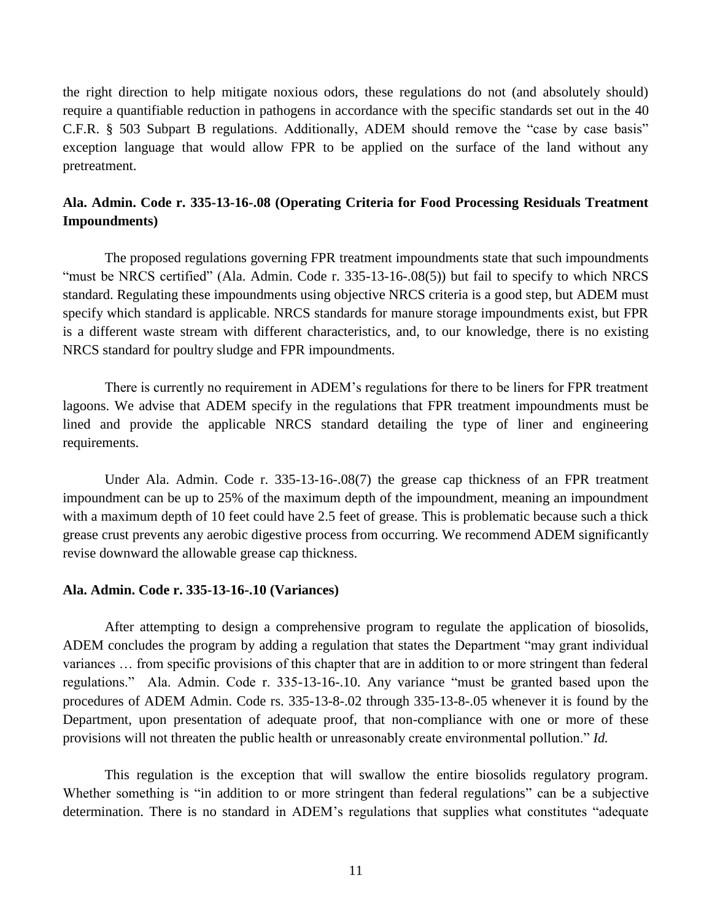the right direction to help mitigate noxious odors, these regulations do not (and absolutely should) require a quantifiable reduction in pathogens in accordance with the specific standards set out in the 40 C.F.R. § 503 Subpart B regulations. Additionally, ADEM should remove the "case by case basis" exception language that would allow FPR to be applied on the surface of the land without any pretreatment.

# **Ala. Admin. Code r. 335-13-16-.08 (Operating Criteria for Food Processing Residuals Treatment Impoundments)**

The proposed regulations governing FPR treatment impoundments state that such impoundments "must be NRCS certified" (Ala. Admin. Code r. 335-13-16-.08(5)) but fail to specify to which NRCS standard. Regulating these impoundments using objective NRCS criteria is a good step, but ADEM must specify which standard is applicable. NRCS standards for manure storage impoundments exist, but FPR is a different waste stream with different characteristics, and, to our knowledge, there is no existing NRCS standard for poultry sludge and FPR impoundments.

There is currently no requirement in ADEM's regulations for there to be liners for FPR treatment lagoons. We advise that ADEM specify in the regulations that FPR treatment impoundments must be lined and provide the applicable NRCS standard detailing the type of liner and engineering requirements.

Under Ala. Admin. Code r. 335-13-16-.08(7) the grease cap thickness of an FPR treatment impoundment can be up to 25% of the maximum depth of the impoundment, meaning an impoundment with a maximum depth of 10 feet could have 2.5 feet of grease. This is problematic because such a thick grease crust prevents any aerobic digestive process from occurring. We recommend ADEM significantly revise downward the allowable grease cap thickness.

### **Ala. Admin. Code r. 335-13-16-.10 (Variances)**

After attempting to design a comprehensive program to regulate the application of biosolids, ADEM concludes the program by adding a regulation that states the Department "may grant individual variances … from specific provisions of this chapter that are in addition to or more stringent than federal regulations." Ala. Admin. Code r. 335-13-16-.10. Any variance "must be granted based upon the procedures of ADEM Admin. Code rs. 335-13-8-.02 through 335-13-8-.05 whenever it is found by the Department, upon presentation of adequate proof, that non-compliance with one or more of these provisions will not threaten the public health or unreasonably create environmental pollution." *Id.*

This regulation is the exception that will swallow the entire biosolids regulatory program. Whether something is "in addition to or more stringent than federal regulations" can be a subjective determination. There is no standard in ADEM's regulations that supplies what constitutes "adequate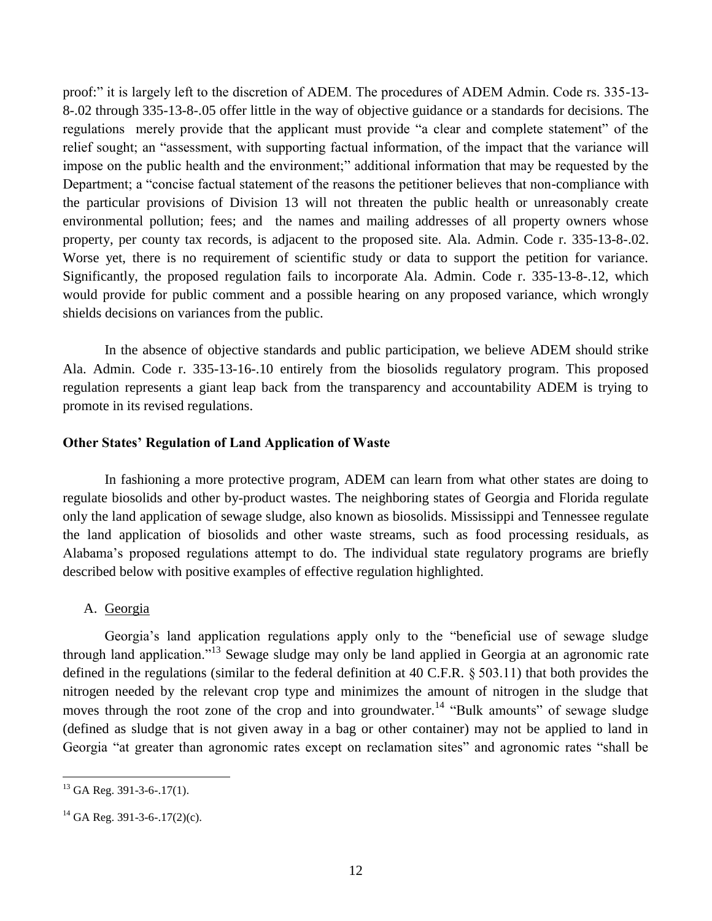proof:" it is largely left to the discretion of ADEM. The procedures of ADEM Admin. Code rs. 335-13- 8-.02 through 335-13-8-.05 offer little in the way of objective guidance or a standards for decisions. The regulations merely provide that the applicant must provide "a clear and complete statement" of the relief sought; an "assessment, with supporting factual information, of the impact that the variance will impose on the public health and the environment;" additional information that may be requested by the Department; a "concise factual statement of the reasons the petitioner believes that non-compliance with the particular provisions of Division 13 will not threaten the public health or unreasonably create environmental pollution; fees; and the names and mailing addresses of all property owners whose property, per county tax records, is adjacent to the proposed site. Ala. Admin. Code r. 335-13-8-.02. Worse yet, there is no requirement of scientific study or data to support the petition for variance. Significantly, the proposed regulation fails to incorporate Ala. Admin. Code r. 335-13-8-.12, which would provide for public comment and a possible hearing on any proposed variance, which wrongly shields decisions on variances from the public.

In the absence of objective standards and public participation, we believe ADEM should strike Ala. Admin. Code r. 335-13-16-.10 entirely from the biosolids regulatory program. This proposed regulation represents a giant leap back from the transparency and accountability ADEM is trying to promote in its revised regulations.

# **Other States' Regulation of Land Application of Waste**

In fashioning a more protective program, ADEM can learn from what other states are doing to regulate biosolids and other by-product wastes. The neighboring states of Georgia and Florida regulate only the land application of sewage sludge, also known as biosolids. Mississippi and Tennessee regulate the land application of biosolids and other waste streams, such as food processing residuals, as Alabama's proposed regulations attempt to do. The individual state regulatory programs are briefly described below with positive examples of effective regulation highlighted.

# A. Georgia

Georgia's land application regulations apply only to the "beneficial use of sewage sludge through land application."<sup>13</sup> Sewage sludge may only be land applied in Georgia at an agronomic rate defined in the regulations (similar to the federal definition at 40 C.F.R. § 503.11) that both provides the nitrogen needed by the relevant crop type and minimizes the amount of nitrogen in the sludge that moves through the root zone of the crop and into groundwater.<sup>14</sup> "Bulk amounts" of sewage sludge (defined as sludge that is not given away in a bag or other container) may not be applied to land in Georgia "at greater than agronomic rates except on reclamation sites" and agronomic rates "shall be

 $^{13}$  GA Reg. 391-3-6-.17(1).

<sup>&</sup>lt;sup>14</sup> GA Reg. 391-3-6-.17(2)(c).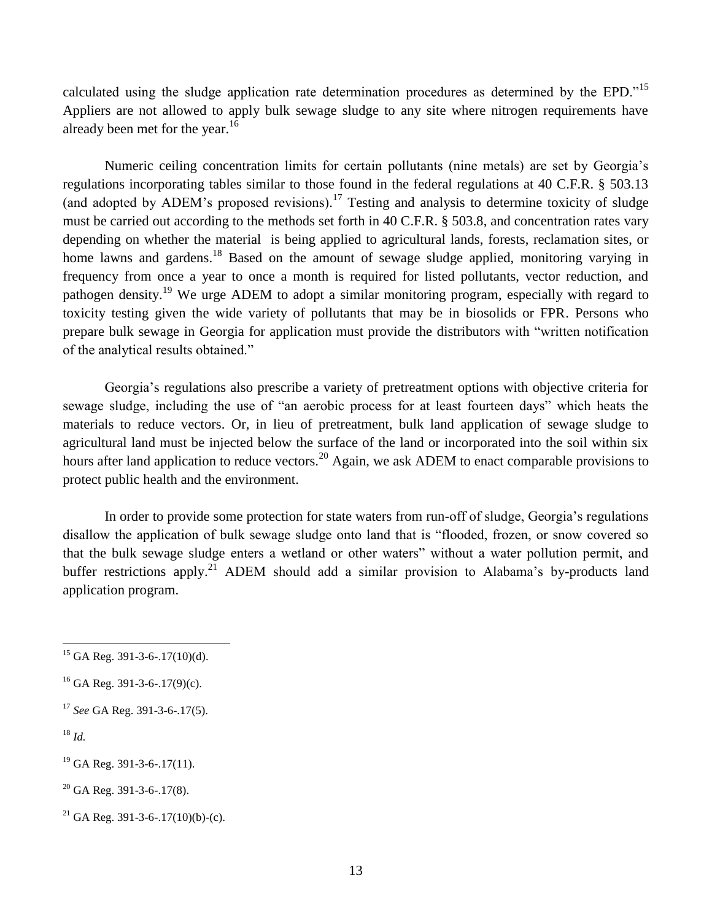calculated using the sludge application rate determination procedures as determined by the EPD."<sup>15</sup> Appliers are not allowed to apply bulk sewage sludge to any site where nitrogen requirements have already been met for the year. $16$ 

Numeric ceiling concentration limits for certain pollutants (nine metals) are set by Georgia's regulations incorporating tables similar to those found in the federal regulations at 40 C.F.R. § 503.13 (and adopted by ADEM's proposed revisions).<sup>17</sup> Testing and analysis to determine toxicity of sludge must be carried out according to the methods set forth in 40 C.F.R. § 503.8, and concentration rates vary depending on whether the material is being applied to agricultural lands, forests, reclamation sites, or home lawns and gardens.<sup>18</sup> Based on the amount of sewage sludge applied, monitoring varying in frequency from once a year to once a month is required for listed pollutants, vector reduction, and pathogen density.<sup>19</sup> We urge ADEM to adopt a similar monitoring program, especially with regard to toxicity testing given the wide variety of pollutants that may be in biosolids or FPR. Persons who prepare bulk sewage in Georgia for application must provide the distributors with "written notification of the analytical results obtained."

Georgia's regulations also prescribe a variety of pretreatment options with objective criteria for sewage sludge, including the use of "an aerobic process for at least fourteen days" which heats the materials to reduce vectors. Or, in lieu of pretreatment, bulk land application of sewage sludge to agricultural land must be injected below the surface of the land or incorporated into the soil within six hours after land application to reduce vectors.<sup>20</sup> Again, we ask ADEM to enact comparable provisions to protect public health and the environment.

In order to provide some protection for state waters from run-off of sludge, Georgia's regulations disallow the application of bulk sewage sludge onto land that is "flooded, frozen, or snow covered so that the bulk sewage sludge enters a wetland or other waters" without a water pollution permit, and buffer restrictions apply.<sup>21</sup> ADEM should add a similar provision to Alabama's by-products land application program.

 $\overline{a}$ 

 $20$  GA Reg. 391-3-6-.17(8).

 $^{15}$  GA Reg. 391-3-6-.17(10)(d).

 $^{16}$  GA Reg. 391-3-6-.17(9)(c).

<sup>17</sup> *See* GA Reg. 391-3-6-.17(5).

<sup>18</sup> *Id.*

 $19$  GA Reg. 391-3-6-.17(11).

<sup>&</sup>lt;sup>21</sup> GA Reg. 391-3-6-.17(10)(b)-(c).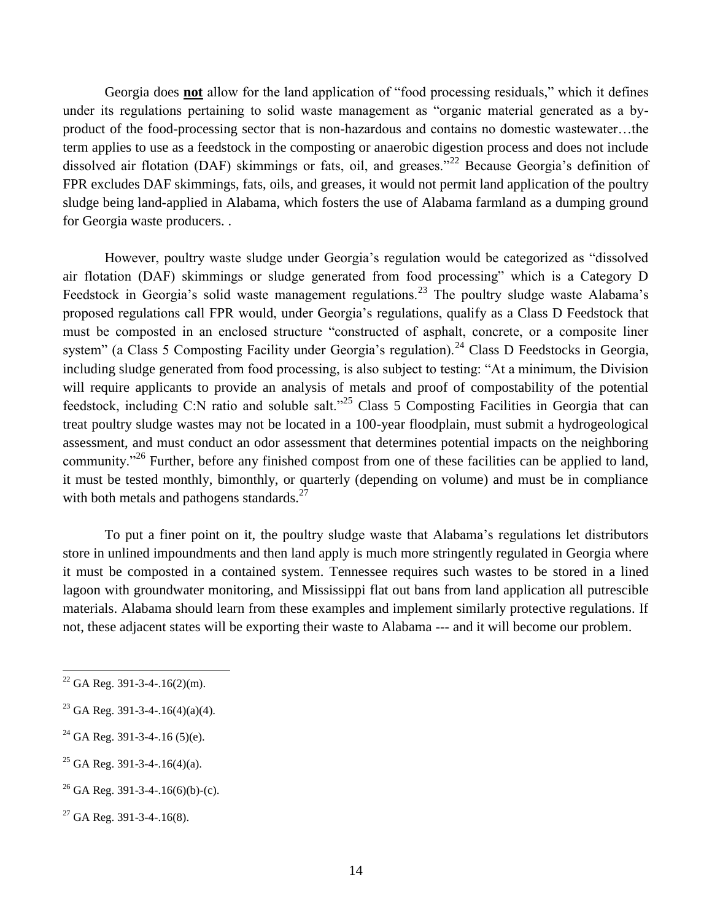Georgia does **not** allow for the land application of "food processing residuals," which it defines under its regulations pertaining to solid waste management as "organic material generated as a byproduct of the food-processing sector that is non-hazardous and contains no domestic wastewater…the term applies to use as a feedstock in the composting or anaerobic digestion process and does not include dissolved air flotation (DAF) skimmings or fats, oil, and greases."<sup>22</sup> Because Georgia's definition of FPR excludes DAF skimmings, fats, oils, and greases, it would not permit land application of the poultry sludge being land-applied in Alabama, which fosters the use of Alabama farmland as a dumping ground for Georgia waste producers. .

However, poultry waste sludge under Georgia's regulation would be categorized as "dissolved air flotation (DAF) skimmings or sludge generated from food processing" which is a Category D Feedstock in Georgia's solid waste management regulations.<sup>23</sup> The poultry sludge waste Alabama's proposed regulations call FPR would, under Georgia's regulations, qualify as a Class D Feedstock that must be composted in an enclosed structure "constructed of asphalt, concrete, or a composite liner system" (a Class 5 Composting Facility under Georgia's regulation).<sup>24</sup> Class D Feedstocks in Georgia, including sludge generated from food processing, is also subject to testing: "At a minimum, the Division will require applicants to provide an analysis of metals and proof of compostability of the potential feedstock, including C:N ratio and soluble salt."<sup>25</sup> Class 5 Composting Facilities in Georgia that can treat poultry sludge wastes may not be located in a 100-year floodplain, must submit a hydrogeological assessment, and must conduct an odor assessment that determines potential impacts on the neighboring community."<sup>26</sup> Further, before any finished compost from one of these facilities can be applied to land, it must be tested monthly, bimonthly, or quarterly (depending on volume) and must be in compliance with both metals and pathogens standards. $27$ 

To put a finer point on it, the poultry sludge waste that Alabama's regulations let distributors store in unlined impoundments and then land apply is much more stringently regulated in Georgia where it must be composted in a contained system. Tennessee requires such wastes to be stored in a lined lagoon with groundwater monitoring, and Mississippi flat out bans from land application all putrescible materials. Alabama should learn from these examples and implement similarly protective regulations. If not, these adjacent states will be exporting their waste to Alabama --- and it will become our problem.

- $^{24}$  GA Reg. 391-3-4-.16 (5)(e).
- <sup>25</sup> GA Reg. 391-3-4-.16(4)(a).

 $22$  GA Reg. 391-3-4-.16(2)(m).

<sup>&</sup>lt;sup>23</sup> GA Reg. 391-3-4-.16(4)(a)(4).

 $^{26}$  GA Reg. 391-3-4-.16(6)(b)-(c).

 $27$  GA Reg. 391-3-4-.16(8).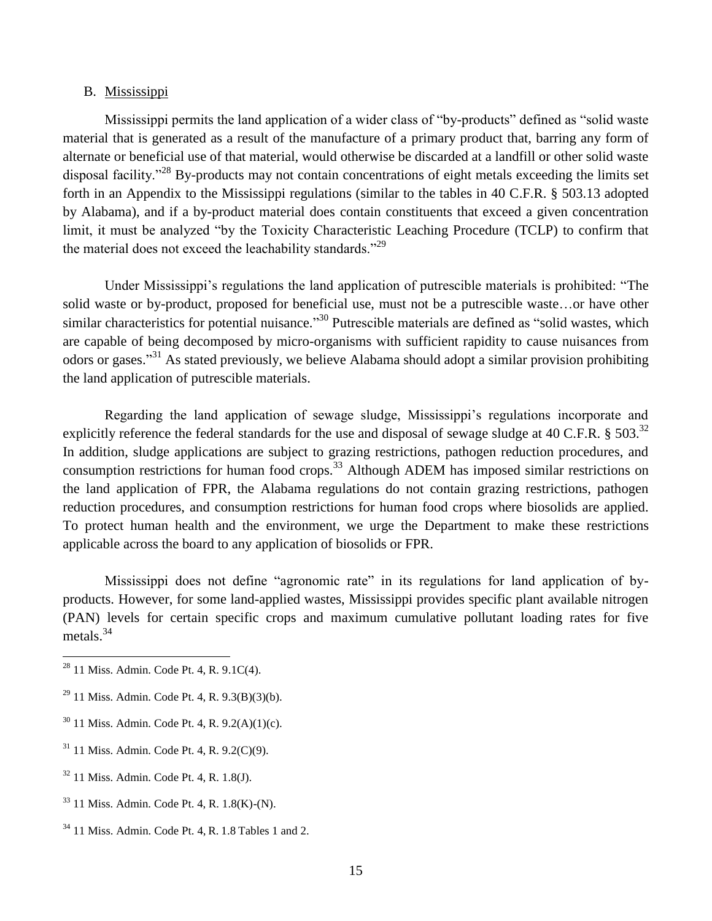### B. Mississippi

Mississippi permits the land application of a wider class of "by-products" defined as "solid waste material that is generated as a result of the manufacture of a primary product that, barring any form of alternate or beneficial use of that material, would otherwise be discarded at a landfill or other solid waste disposal facility."<sup>28</sup> By-products may not contain concentrations of eight metals exceeding the limits set forth in an Appendix to the Mississippi regulations (similar to the tables in 40 C.F.R. § 503.13 adopted by Alabama), and if a by-product material does contain constituents that exceed a given concentration limit, it must be analyzed "by the Toxicity Characteristic Leaching Procedure (TCLP) to confirm that the material does not exceed the leachability standards."<sup>29</sup>

Under Mississippi's regulations the land application of putrescible materials is prohibited: "The solid waste or by-product, proposed for beneficial use, must not be a putrescible waste…or have other similar characteristics for potential nuisance."<sup>30</sup> Putrescible materials are defined as "solid wastes, which are capable of being decomposed by micro-organisms with sufficient rapidity to cause nuisances from odors or gases."<sup>31</sup> As stated previously, we believe Alabama should adopt a similar provision prohibiting the land application of putrescible materials.

Regarding the land application of sewage sludge, Mississippi's regulations incorporate and explicitly reference the federal standards for the use and disposal of sewage sludge at 40 C.F.R.  $\S 503$ .<sup>32</sup> In addition, sludge applications are subject to grazing restrictions, pathogen reduction procedures, and consumption restrictions for human food crops.<sup>33</sup> Although ADEM has imposed similar restrictions on the land application of FPR, the Alabama regulations do not contain grazing restrictions, pathogen reduction procedures, and consumption restrictions for human food crops where biosolids are applied. To protect human health and the environment, we urge the Department to make these restrictions applicable across the board to any application of biosolids or FPR.

Mississippi does not define "agronomic rate" in its regulations for land application of byproducts. However, for some land-applied wastes, Mississippi provides specific plant available nitrogen (PAN) levels for certain specific crops and maximum cumulative pollutant loading rates for five metals.<sup>34</sup>

 $\overline{a}$ 

<sup>32</sup> 11 Miss. Admin. Code Pt. 4, R. 1.8(J).

 $^{28}$  11 Miss. Admin. Code Pt. 4, R. 9.1C(4).

 $29$  11 Miss. Admin. Code Pt. 4, R. 9.3(B)(3)(b).

 $30$  11 Miss. Admin. Code Pt. 4, R. 9.2(A)(1)(c).

<sup>31</sup> 11 Miss. Admin. Code Pt. 4, R. 9.2(C)(9).

<sup>33</sup> 11 Miss. Admin. Code Pt. 4, R. 1.8(K)-(N).

 $34$  11 Miss. Admin. Code Pt. 4, R. 1.8 Tables 1 and 2.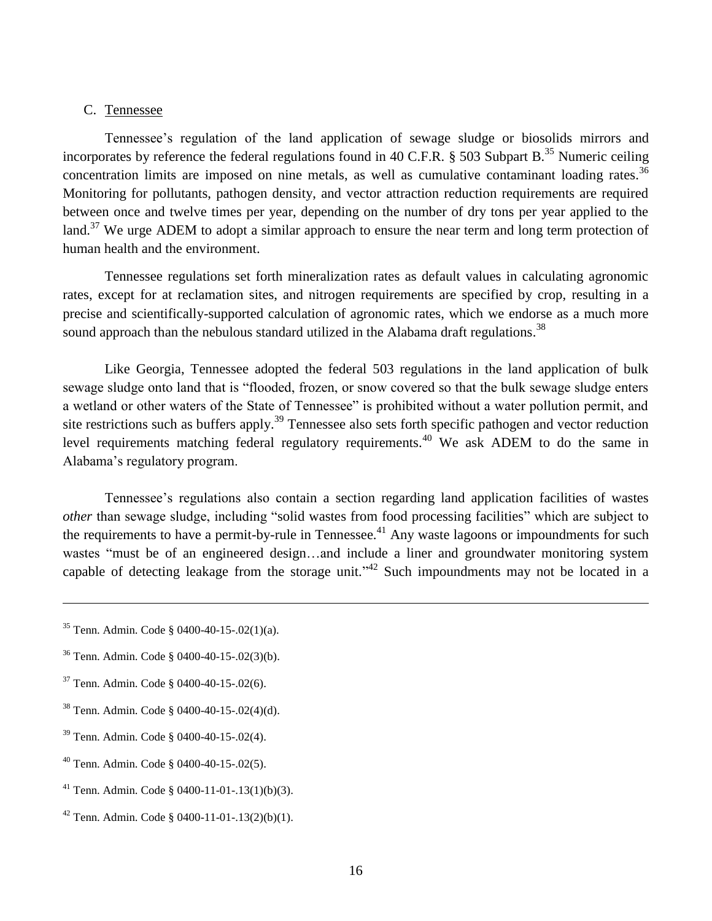# C. Tennessee

Tennessee's regulation of the land application of sewage sludge or biosolids mirrors and incorporates by reference the federal regulations found in 40 C.F.R. § 503 Subpart B.<sup>35</sup> Numeric ceiling concentration limits are imposed on nine metals, as well as cumulative contaminant loading rates.<sup>36</sup> Monitoring for pollutants, pathogen density, and vector attraction reduction requirements are required between once and twelve times per year, depending on the number of dry tons per year applied to the land.<sup>37</sup> We urge ADEM to adopt a similar approach to ensure the near term and long term protection of human health and the environment.

Tennessee regulations set forth mineralization rates as default values in calculating agronomic rates, except for at reclamation sites, and nitrogen requirements are specified by crop, resulting in a precise and scientifically-supported calculation of agronomic rates, which we endorse as a much more sound approach than the nebulous standard utilized in the Alabama draft regulations.<sup>38</sup>

Like Georgia, Tennessee adopted the federal 503 regulations in the land application of bulk sewage sludge onto land that is "flooded, frozen, or snow covered so that the bulk sewage sludge enters a wetland or other waters of the State of Tennessee" is prohibited without a water pollution permit, and site restrictions such as buffers apply.<sup>39</sup> Tennessee also sets forth specific pathogen and vector reduction level requirements matching federal regulatory requirements.<sup>40</sup> We ask ADEM to do the same in Alabama's regulatory program.

Tennessee's regulations also contain a section regarding land application facilities of wastes *other* than sewage sludge, including "solid wastes from food processing facilities" which are subject to the requirements to have a permit-by-rule in Tennessee.<sup>41</sup> Any waste lagoons or impoundments for such wastes "must be of an engineered design…and include a liner and groundwater monitoring system capable of detecting leakage from the storage unit."<sup>42</sup> Such impoundments may not be located in a

- <sup>37</sup> Tenn. Admin. Code § 0400-40-15-.02(6).
- <sup>38</sup> Tenn. Admin. Code § 0400-40-15-.02(4)(d).
- <sup>39</sup> Tenn. Admin. Code § 0400-40-15-.02(4).
- <sup>40</sup> Tenn. Admin. Code § 0400-40-15-.02(5).
- <sup>41</sup> Tenn. Admin. Code § 0400-11-01-.13(1)(b)(3).
- $42$  Tenn. Admin. Code § 0400-11-01-.13(2)(b)(1).

<sup>35</sup> Tenn. Admin. Code § 0400-40-15-.02(1)(a).

<sup>36</sup> Tenn. Admin. Code § 0400-40-15-.02(3)(b).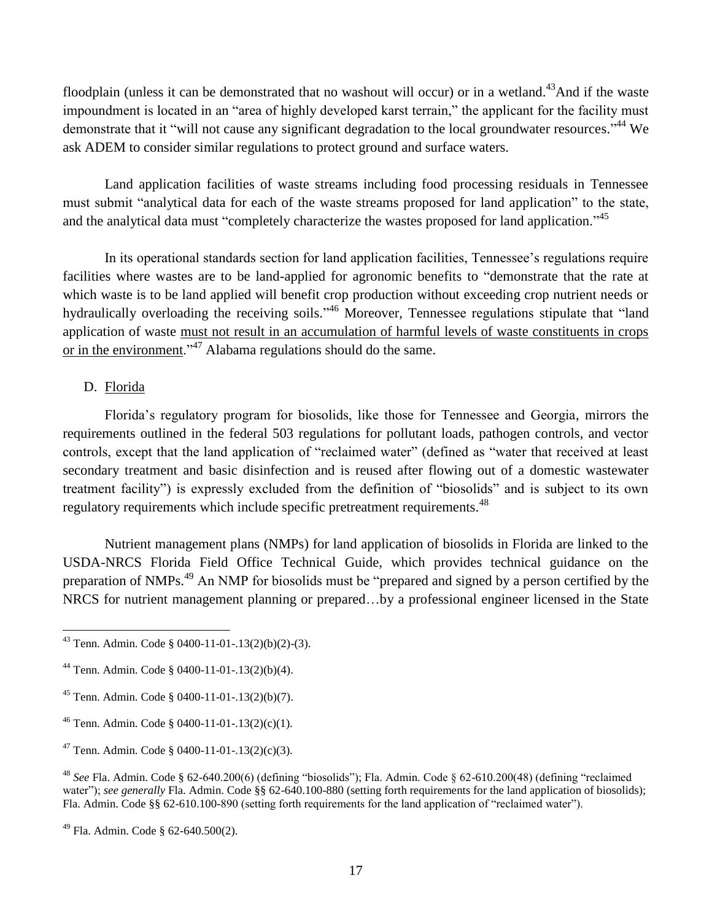floodplain (unless it can be demonstrated that no washout will occur) or in a wetland.<sup>43</sup>And if the waste impoundment is located in an "area of highly developed karst terrain," the applicant for the facility must demonstrate that it "will not cause any significant degradation to the local groundwater resources."<sup>44</sup> We ask ADEM to consider similar regulations to protect ground and surface waters.

Land application facilities of waste streams including food processing residuals in Tennessee must submit "analytical data for each of the waste streams proposed for land application" to the state, and the analytical data must "completely characterize the wastes proposed for land application."<sup>45</sup>

In its operational standards section for land application facilities, Tennessee's regulations require facilities where wastes are to be land-applied for agronomic benefits to "demonstrate that the rate at which waste is to be land applied will benefit crop production without exceeding crop nutrient needs or hydraulically overloading the receiving soils."<sup>46</sup> Moreover, Tennessee regulations stipulate that "land application of waste must not result in an accumulation of harmful levels of waste constituents in crops or in the environment."<sup>47</sup> Alabama regulations should do the same.

# D. Florida

Florida's regulatory program for biosolids, like those for Tennessee and Georgia, mirrors the requirements outlined in the federal 503 regulations for pollutant loads, pathogen controls, and vector controls, except that the land application of "reclaimed water" (defined as "water that received at least secondary treatment and basic disinfection and is reused after flowing out of a domestic wastewater treatment facility") is expressly excluded from the definition of "biosolids" and is subject to its own regulatory requirements which include specific pretreatment requirements.<sup>48</sup>

Nutrient management plans (NMPs) for land application of biosolids in Florida are linked to the USDA-NRCS Florida Field Office Technical Guide, which provides technical guidance on the preparation of NMPs.<sup>49</sup> An NMP for biosolids must be "prepared and signed by a person certified by the NRCS for nutrient management planning or prepared…by a professional engineer licensed in the State

 $\overline{a}$  $43$  Tenn. Admin. Code § 0400-11-01-.13(2)(b)(2)-(3).

<sup>44</sup> Tenn. Admin. Code § 0400-11-01-.13(2)(b)(4).

<sup>45</sup> Tenn. Admin. Code § 0400-11-01-.13(2)(b)(7).

<sup>46</sup> Tenn. Admin. Code § 0400-11-01-.13(2)(c)(1).

<sup>&</sup>lt;sup>47</sup> Tenn. Admin. Code § 0400-11-01- $.13(2)(c)(3)$ .

<sup>48</sup> *See* Fla. Admin. Code § 62-640.200(6) (defining "biosolids"); Fla. Admin. Code § 62-610.200(48) (defining "reclaimed water"); *see generally* Fla. Admin. Code §§ 62-640.100-880 (setting forth requirements for the land application of biosolids); Fla. Admin. Code §§ 62-610.100-890 (setting forth requirements for the land application of "reclaimed water").

<sup>49</sup> Fla. Admin. Code § 62-640.500(2).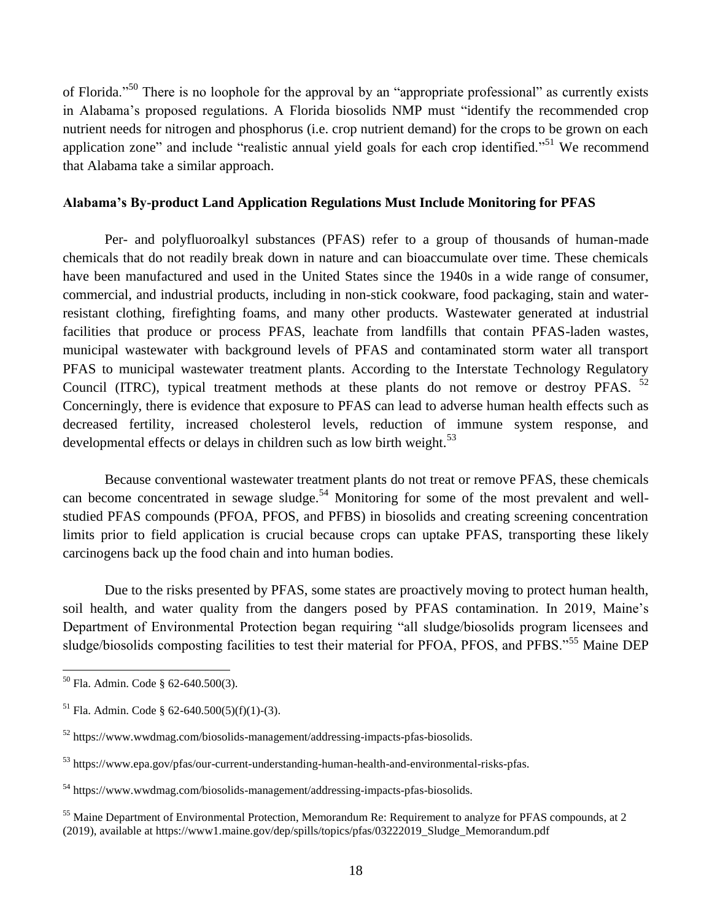of Florida."<sup>50</sup> There is no loophole for the approval by an "appropriate professional" as currently exists in Alabama's proposed regulations. A Florida biosolids NMP must "identify the recommended crop nutrient needs for nitrogen and phosphorus (i.e. crop nutrient demand) for the crops to be grown on each application zone" and include "realistic annual yield goals for each crop identified."<sup>51</sup> We recommend that Alabama take a similar approach.

# **Alabama's By-product Land Application Regulations Must Include Monitoring for PFAS**

Per- and polyfluoroalkyl substances (PFAS) refer to a group of thousands of human-made chemicals that do not readily break down in nature and can bioaccumulate over time. These chemicals have been manufactured and used in the United States since the 1940s in a wide range of consumer, commercial, and industrial products, including in non-stick cookware, food packaging, stain and waterresistant clothing, firefighting foams, and many other products. Wastewater generated at industrial facilities that produce or process PFAS, leachate from landfills that contain PFAS-laden wastes, municipal wastewater with background levels of PFAS and contaminated storm water all transport PFAS to municipal wastewater treatment plants. According to the Interstate Technology Regulatory Council (ITRC), typical treatment methods at these plants do not remove or destroy PFAS. <sup>52</sup> Concerningly, there is evidence that exposure to PFAS can lead to adverse human health effects such as decreased fertility, increased cholesterol levels, reduction of immune system response, and developmental effects or delays in children such as low birth weight.<sup>53</sup>

Because conventional wastewater treatment plants do not treat or remove PFAS, these chemicals can become concentrated in sewage sludge.<sup>54</sup> Monitoring for some of the most prevalent and wellstudied PFAS compounds (PFOA, PFOS, and PFBS) in biosolids and creating screening concentration limits prior to field application is crucial because crops can uptake PFAS, transporting these likely carcinogens back up the food chain and into human bodies.

Due to the risks presented by PFAS, some states are proactively moving to protect human health, soil health, and water quality from the dangers posed by PFAS contamination. In 2019, Maine's Department of Environmental Protection began requiring "all sludge/biosolids program licensees and sludge/biosolids composting facilities to test their material for PFOA, PFOS, and PFBS."<sup>55</sup> Maine DEP

<sup>50</sup> Fla. Admin. Code § 62-640.500(3).

 $^{51}$  Fla. Admin. Code § 62-640.500(5)(f)(1)-(3).

 $52$  https://www.wwdmag.com/biosolids-management/addressing-impacts-pfas-biosolids.

<sup>53</sup> [https://www.epa.gov/pfas/our-current-understanding-human-health-and-environmental-risks-pfas.](https://www.epa.gov/pfas/our-current-understanding-human-health-and-environmental-risks-pfas)

<sup>54</sup> https://www.wwdmag.com/biosolids-management/addressing-impacts-pfas-biosolids.

<sup>&</sup>lt;sup>55</sup> Maine Department of Environmental Protection, Memorandum Re: Requirement to analyze for PFAS compounds, at 2 (2019), available at https://www1.maine.gov/dep/spills/topics/pfas/03222019\_Sludge\_Memorandum.pdf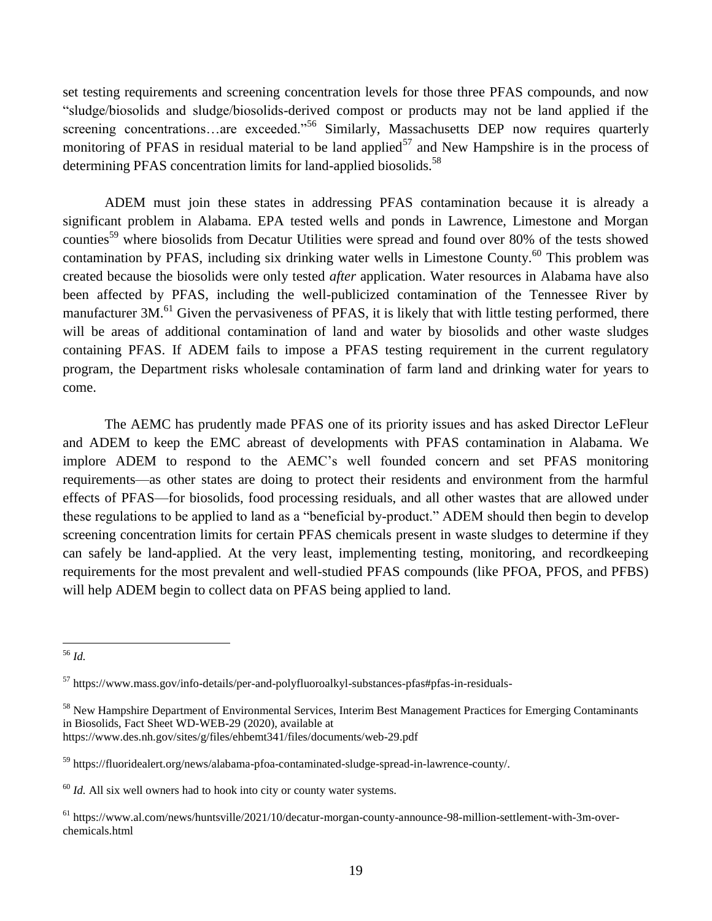set testing requirements and screening concentration levels for those three PFAS compounds, and now "sludge/biosolids and sludge/biosolids-derived compost or products may not be land applied if the screening concentrations…are exceeded."<sup>56</sup> Similarly, Massachusetts DEP now requires quarterly monitoring of PFAS in residual material to be land applied<sup>57</sup> and New Hampshire is in the process of determining PFAS concentration limits for land-applied biosolids.<sup>58</sup>

ADEM must join these states in addressing PFAS contamination because it is already a significant problem in Alabama. EPA tested wells and ponds in Lawrence, Limestone and Morgan counties<sup>59</sup> where biosolids from Decatur Utilities were spread and found over 80% of the tests showed contamination by PFAS, including six drinking water wells in Limestone County.<sup>60</sup> This problem was created because the biosolids were only tested *after* application. Water resources in Alabama have also been affected by PFAS, including the well-publicized contamination of the Tennessee River by manufacturer 3M.<sup>61</sup> Given the pervasiveness of PFAS, it is likely that with little testing performed, there will be areas of additional contamination of land and water by biosolids and other waste sludges containing PFAS. If ADEM fails to impose a PFAS testing requirement in the current regulatory program, the Department risks wholesale contamination of farm land and drinking water for years to come.

The AEMC has prudently made PFAS one of its priority issues and has asked Director LeFleur and ADEM to keep the EMC abreast of developments with PFAS contamination in Alabama. We implore ADEM to respond to the AEMC's well founded concern and set PFAS monitoring requirements—as other states are doing to protect their residents and environment from the harmful effects of PFAS—for biosolids, food processing residuals, and all other wastes that are allowed under these regulations to be applied to land as a "beneficial by-product." ADEM should then begin to develop screening concentration limits for certain PFAS chemicals present in waste sludges to determine if they can safely be land-applied. At the very least, implementing testing, monitoring, and recordkeeping requirements for the most prevalent and well-studied PFAS compounds (like PFOA, PFOS, and PFBS) will help ADEM begin to collect data on PFAS being applied to land.

<sup>56</sup> *Id.*

<sup>57</sup> <https://www.mass.gov/info-details/per-and-polyfluoroalkyl-substances-pfas#pfas-in-residuals->

<sup>&</sup>lt;sup>58</sup> New Hampshire Department of Environmental Services, Interim Best Management Practices for Emerging Contaminants in Biosolids, Fact Sheet WD-WEB-29 (2020), available at <https://www.des.nh.gov/sites/g/files/ehbemt341/files/documents/web-29.pdf>

<sup>59</sup> https://fluoridealert.org/news/alabama-pfoa-contaminated-sludge-spread-in-lawrence-county/.

 $60$  *Id.* All six well owners had to hook into city or county water systems.

<sup>61</sup> https://www.al.com/news/huntsville/2021/10/decatur-morgan-county-announce-98-million-settlement-with-3m-overchemicals.html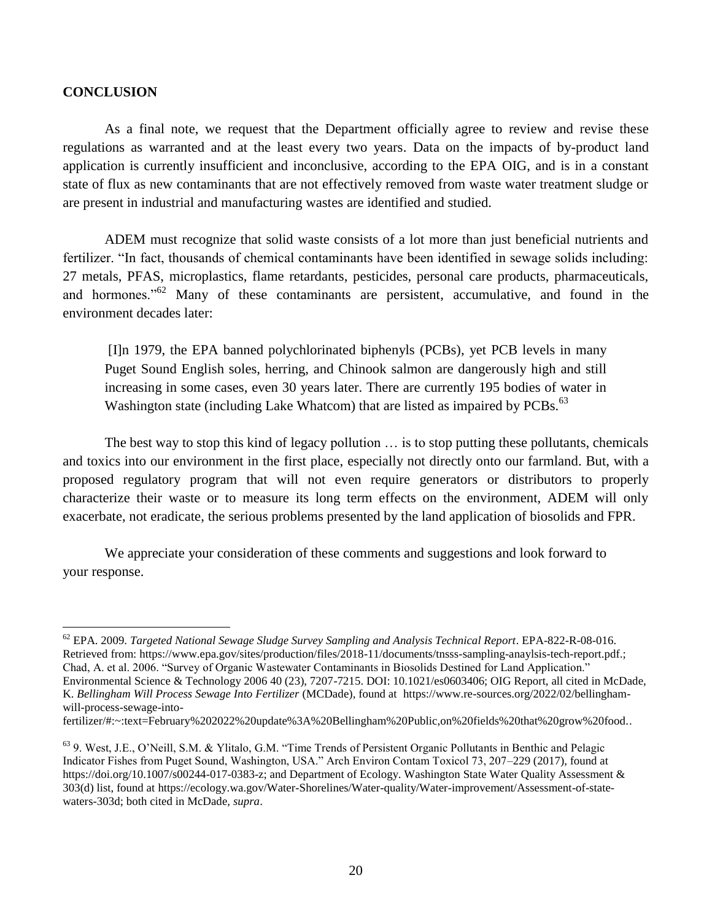# **CONCLUSION**

As a final note, we request that the Department officially agree to review and revise these regulations as warranted and at the least every two years. Data on the impacts of by-product land application is currently insufficient and inconclusive, according to the EPA OIG, and is in a constant state of flux as new contaminants that are not effectively removed from waste water treatment sludge or are present in industrial and manufacturing wastes are identified and studied.

ADEM must recognize that solid waste consists of a lot more than just beneficial nutrients and fertilizer. "In fact, thousands of chemical contaminants have been identified in sewage solids including: 27 metals, PFAS, microplastics, flame retardants, pesticides, personal care products, pharmaceuticals, and hormones."<sup>62</sup> Many of these contaminants are persistent, accumulative, and found in the environment decades later:

[I]n 1979, the EPA banned polychlorinated biphenyls (PCBs), yet PCB levels in many Puget Sound English soles, herring, and Chinook salmon are dangerously high and still increasing in some cases, even 30 years later. There are currently 195 bodies of water in Washington state (including Lake Whatcom) that are listed as impaired by PCBs.<sup>63</sup>

The best way to stop this kind of legacy pollution … is to stop putting these pollutants, chemicals and toxics into our environment in the first place, especially not directly onto our farmland. But, with a proposed regulatory program that will not even require generators or distributors to properly characterize their waste or to measure its long term effects on the environment, ADEM will only exacerbate, not eradicate, the serious problems presented by the land application of biosolids and FPR.

We appreciate your consideration of these comments and suggestions and look forward to your response.

fertilizer/#:~:text=February%202022%20update%3A%20Bellingham%20Public,on%20fields%20that%20grow%20food..

 $\overline{a}$ <sup>62</sup> EPA. 2009. *Targeted National Sewage Sludge Survey Sampling and Analysis Technical Report*. EPA-822-R-08-016. Retrieved from: [https://www.epa.gov/sites/production/files/2018-11/documents/tnsss-sampling-anaylsis-tech-report.pdf.](https://www.epa.gov/sites/production/files/2018-11/documents/tnsss-sampling-anaylsis-tech-report.pdf); Chad, A. et al. 2006. "Survey of Organic Wastewater Contaminants in Biosolids Destined for Land Application." Environmental Science & Technology 2006 40 (23), 7207-7215. DOI: 10.1021/es0603406; OIG Report, all cited in McDade, K. *Bellingham Will Process Sewage Into Fertilizer* (MCDade)*,* found at https://www.re-sources.org/2022/02/bellinghamwill-process-sewage-into-

<sup>63</sup> 9. West, J.E., O'Neill, S.M. & Ylitalo, G.M. "Time Trends of Persistent Organic Pollutants in Benthic and Pelagic Indicator Fishes from Puget Sound, Washington, USA." Arch Environ Contam Toxicol 73, 207–229 (2017), found at [https://doi.org/10.1007/s00244-017-0383-z;](https://doi.org/10.1007/s00244-017-0383-z) and Department of Ecology. Washington State Water Quality Assessment & 303(d) list, found at [https://ecology.wa.gov/Water-Shorelines/Water-quality/Water-improvement/Assessment-of-state](https://ecology.wa.gov/Water-Shorelines/Water-quality/Water-improvement/Assessment-of-state-waters-303d)[waters-303d;](https://ecology.wa.gov/Water-Shorelines/Water-quality/Water-improvement/Assessment-of-state-waters-303d) both cited in McDade*, supra*.